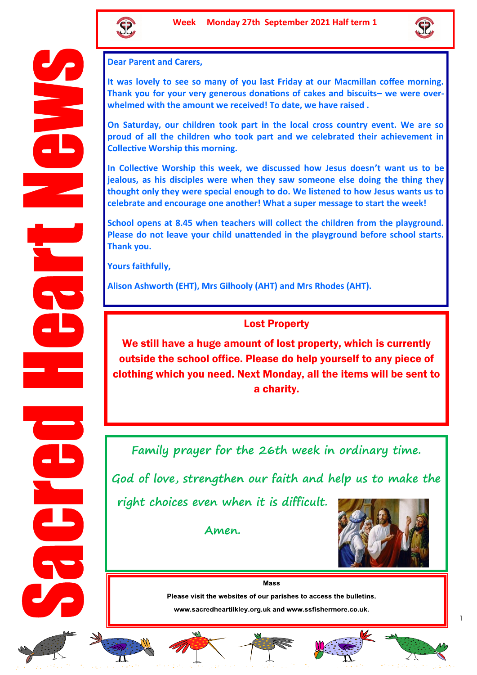



**Dear Parent and Carers,** 

**It was lovely to see so many of you last Friday at our Macmillan coffee morning. Thank you for your very generous donations of cakes and biscuits– we were overwhelmed with the amount we received! To date, we have raised .** 

**On Saturday, our children took part in the local cross country event. We are so proud of all the children who took part and we celebrated their achievement in Collective Worship this morning.**

**In Collective Worship this week, we discussed how Jesus doesn't want us to be jealous, as his disciples were when they saw someone else doing the thing they thought only they were special enough to do. We listened to how Jesus wants us to celebrate and encourage one another! What a super message to start the week!**

**School opens at 8.45 when teachers will collect the children from the playground. Please do not leave your child unattended in the playground before school starts. Thank you.**

**Yours faithfully,**

**Alison Ashworth (EHT), Mrs Gilhooly (AHT) and Mrs Rhodes (AHT).**

## Lost Property

We still have a huge amount of lost property, which is currently outside the school office. Please do help yourself to any piece of clothing which you need. Next Monday, all the items will be sent to a charity.

**Family prayer for the 26th week in ordinary time.**

**God of love, strengthen our faith and help us to make the** 

**right choices even when it is difficult.** 

**Amen.** 



**Mass** 

Please visit the websites of our parishes to access the bulletins.

www.sacredheartilkley.org.uk and www.ssfishermore.co.uk.













1